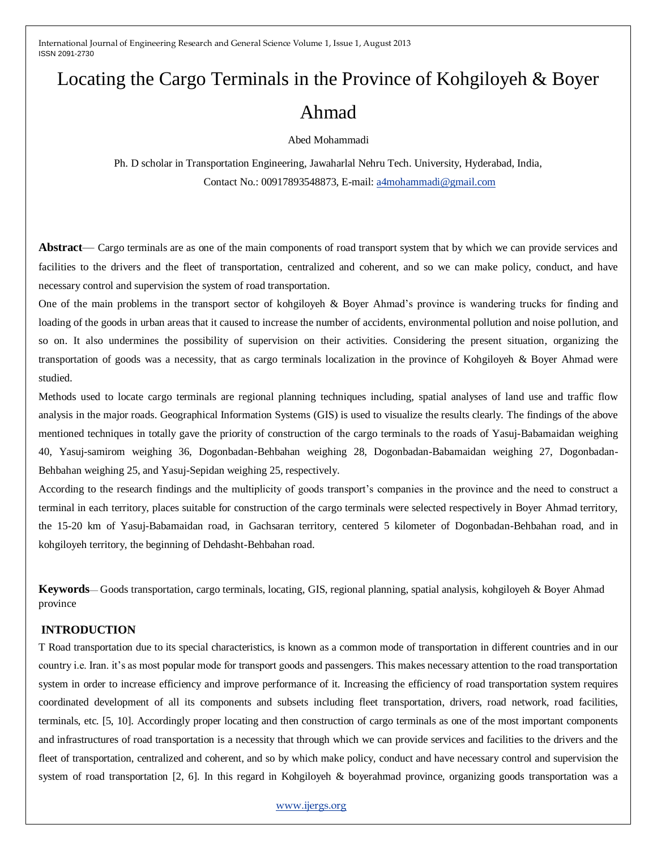# Locating the Cargo Terminals in the Province of Kohgiloyeh & Boyer Ahmad

Abed Mohammadi

Ph. D scholar in Transportation Engineering, Jawaharlal Nehru Tech. University, Hyderabad, India, Contact No.: 00917893548873, E-mail: [a4mohammadi@gmail.com](mailto:a4mohammadi@gmail.com)

**Abstract**— Cargo terminals are as one of the main components of road transport system that by which we can provide services and facilities to the drivers and the fleet of transportation, centralized and coherent, and so we can make policy, conduct, and have necessary control and supervision the system of road transportation.

One of the main problems in the transport sector of kohgiloyeh & Boyer Ahmad's province is wandering trucks for finding and loading of the goods in urban areas that it caused to increase the number of accidents, environmental pollution and noise pollution, and so on. It also undermines the possibility of supervision on their activities. Considering the present situation, organizing the transportation of goods was a necessity, that as cargo terminals localization in the province of Kohgiloyeh & Boyer Ahmad were studied.

Methods used to locate cargo terminals are regional planning techniques including, spatial analyses of land use and traffic flow analysis in the major roads. Geographical Information Systems (GIS) is used to visualize the results clearly. The findings of the above mentioned techniques in totally gave the priority of construction of the cargo terminals to the roads of Yasuj-Babamaidan weighing 40, Yasuj-samirom weighing 36, Dogonbadan-Behbahan weighing 28, Dogonbadan-Babamaidan weighing 27, Dogonbadan-Behbahan weighing 25, and Yasuj-Sepidan weighing 25, respectively.

According to the research findings and the multiplicity of goods transport's companies in the province and the need to construct a terminal in each territory, places suitable for construction of the cargo terminals were selected respectively in Boyer Ahmad territory, the 15-20 km of Yasuj-Babamaidan road, in Gachsaran territory, centered 5 kilometer of Dogonbadan-Behbahan road, and in kohgiloyeh territory, the beginning of Dehdasht-Behbahan road.

**Keywords**— Goods transportation, cargo terminals, locating, GIS, regional planning, spatial analysis, kohgiloyeh & Boyer Ahmad province

## **INTRODUCTION**

T Road transportation due to its special characteristics, is known as a common mode of transportation in different countries and in our country i.e. Iran. it's as most popular mode for transport goods and passengers. This makes necessary attention to the road transportation system in order to increase efficiency and improve performance of it. Increasing the efficiency of road transportation system requires coordinated development of all its components and subsets including fleet transportation, drivers, road network, road facilities, terminals, etc. [5, 10]. Accordingly proper locating and then construction of cargo terminals as one of the most important components and infrastructures of road transportation is a necessity that through which we can provide services and facilities to the drivers and the fleet of transportation, centralized and coherent, and so by which make policy, conduct and have necessary control and supervision the system of road transportation [2, 6]. In this regard in Kohgiloyeh & boyerahmad province, organizing goods transportation was a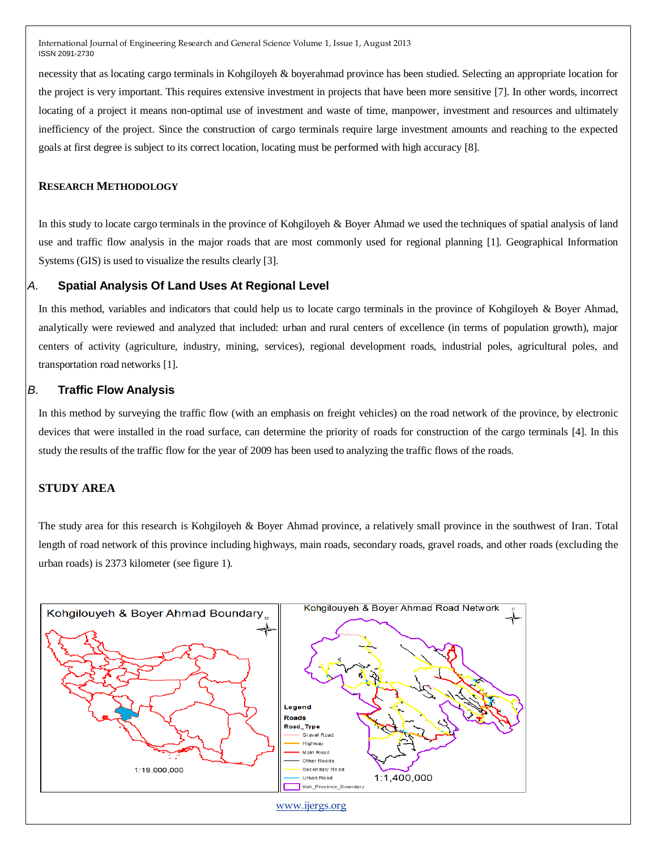necessity that as locating cargo terminals in Kohgiloyeh & boyerahmad province has been studied. Selecting an appropriate location for the project is very important. This requires extensive investment in projects that have been more sensitive [7]. In other words, incorrect locating of a project it means non-optimal use of investment and waste of time, manpower, investment and resources and ultimately inefficiency of the project. Since the construction of cargo terminals require large investment amounts and reaching to the expected goals at first degree is subject to its correct location, locating must be performed with high accuracy [8].

## **RESEARCH METHODOLOGY**

In this study to locate cargo terminals in the province of Kohgiloyeh & Boyer Ahmad we used the techniques of spatial analysis of land use and traffic flow analysis in the major roads that are most commonly used for regional planning [1]. Geographical Information Systems (GIS) is used to visualize the results clearly [3].

## *A.* **Spatial Analysis Of Land Uses At Regional Level**

In this method, variables and indicators that could help us to locate cargo terminals in the province of Kohgiloyeh & Boyer Ahmad, analytically were reviewed and analyzed that included: urban and rural centers of excellence (in terms of population growth), major centers of activity (agriculture, industry, mining, services), regional development roads, industrial poles, agricultural poles, and transportation road networks [1].

# *B.* **Traffic Flow Analysis**

In this method by surveying the traffic flow (with an emphasis on freight vehicles) on the road network of the province, by electronic devices that were installed in the road surface, can determine the priority of roads for construction of the cargo terminals [4]. In this study the results of the traffic flow for the year of 2009 has been used to analyzing the traffic flows of the roads.

#### **STUDY AREA**

The study area for this research is Kohgiloyeh & Boyer Ahmad province, a relatively small province in the southwest of Iran. Total length of road network of this province including highways, main roads, secondary roads, gravel roads, and other roads (excluding the urban roads) is 2373 kilometer (see figure 1).

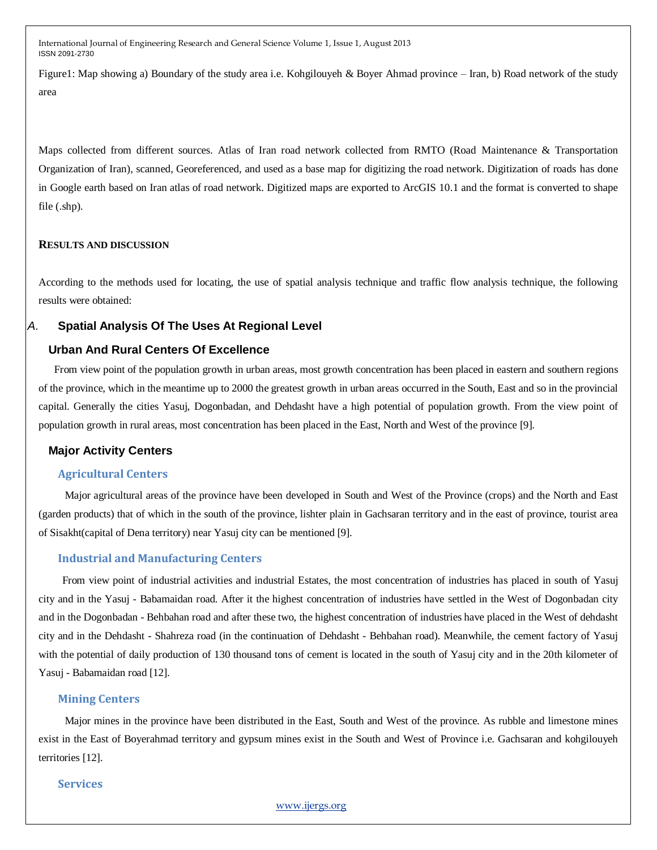Figure1: Map showing a) Boundary of the study area i.e. Kohgilouyeh & Boyer Ahmad province – Iran, b) Road network of the study area

Maps collected from different sources. Atlas of Iran road network collected from RMTO (Road Maintenance & Transportation Organization of Iran), scanned, Georeferenced, and used as a base map for digitizing the road network. Digitization of roads has done in Google earth based on Iran atlas of road network. Digitized maps are exported to ArcGIS 10.1 and the format is converted to shape file (.shp).

#### **RESULTS AND DISCUSSION**

According to the methods used for locating, the use of spatial analysis technique and traffic flow analysis technique, the following results were obtained:

## *A.* **Spatial Analysis Of The Uses At Regional Level**

## **Urban And Rural Centers Of Excellence**

From view point of the population growth in urban areas, most growth concentration has been placed in eastern and southern regions of the province, which in the meantime up to 2000 the greatest growth in urban areas occurred in the South, East and so in the provincial capital. Generally the cities Yasuj, Dogonbadan, and Dehdasht have a high potential of population growth. From the view point of population growth in rural areas, most concentration has been placed in the East, North and West of the province [9].

## **Major Activity Centers**

#### **Agricultural Centers**

 Major agricultural areas of the province have been developed in South and West of the Province (crops) and the North and East (garden products) that of which in the south of the province, lishter plain in Gachsaran territory and in the east of province, tourist area of Sisakht(capital of Dena territory) near Yasuj city can be mentioned [9].

#### **Industrial and Manufacturing Centers**

 From view point of industrial activities and industrial Estates, the most concentration of industries has placed in south of Yasuj city and in the Yasuj - Babamaidan road. After it the highest concentration of industries have settled in the West of Dogonbadan city and in the Dogonbadan - Behbahan road and after these two, the highest concentration of industries have placed in the West of dehdasht city and in the Dehdasht - Shahreza road (in the continuation of Dehdasht - Behbahan road). Meanwhile, the cement factory of Yasuj with the potential of daily production of 130 thousand tons of cement is located in the south of Yasuj city and in the 20th kilometer of Yasuj - Babamaidan road [12].

#### **Mining Centers**

 Major mines in the province have been distributed in the East, South and West of the province. As rubble and limestone mines exist in the East of Boyerahmad territory and gypsum mines exist in the South and West of Province i.e. Gachsaran and kohgilouyeh territories [12].

#### **Services**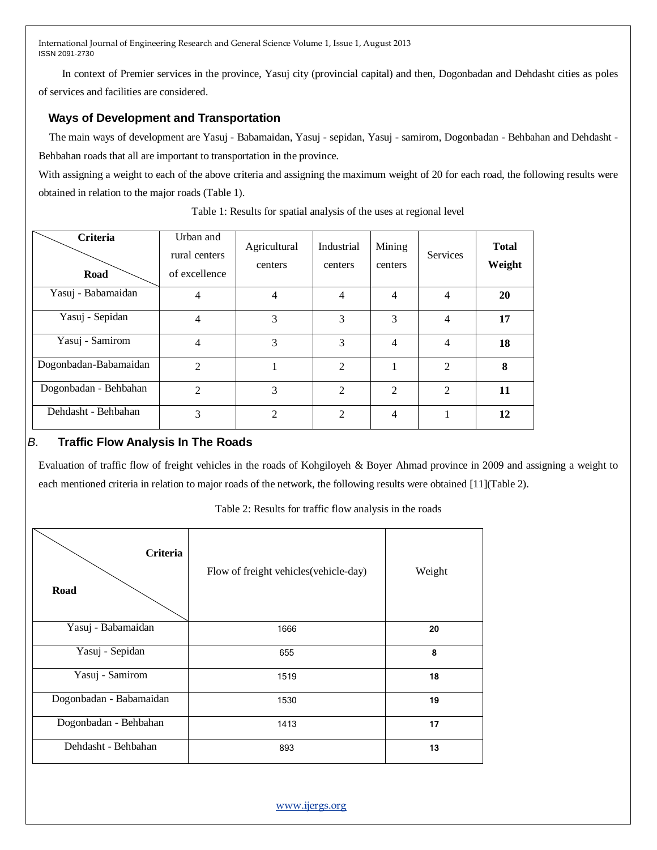In context of Premier services in the province, Yasuj city (provincial capital) and then, Dogonbadan and Dehdasht cities as poles of services and facilities are considered.

# **Ways of Development and Transportation**

 The main ways of development are Yasuj - Babamaidan, Yasuj - sepidan, Yasuj - samirom, Dogonbadan - Behbahan and Dehdasht - Behbahan roads that all are important to transportation in the province.

With assigning a weight to each of the above criteria and assigning the maximum weight of 20 for each road, the following results were obtained in relation to the major roads (Table 1).

| <b>Criteria</b><br>Road | Urban and<br>rural centers<br>of excellence | Agricultural<br>centers | Industrial<br>centers | Mining<br>centers | <b>Services</b> | <b>Total</b><br>Weight |
|-------------------------|---------------------------------------------|-------------------------|-----------------------|-------------------|-----------------|------------------------|
| Yasuj - Babamaidan      | 4                                           | 4                       | 4                     | 4                 | 4               | 20                     |
| Yasuj - Sepidan         | 4                                           | 3                       | 3                     | 3                 | $\overline{4}$  | 17                     |
| Yasuj - Samirom         | 4                                           | 3                       | 3                     | 4                 | 4               | 18                     |
| Dogonbadan-Babamaidan   | $\mathfrak{D}$                              | 1                       | $\overline{2}$        | 1                 | $\mathfrak{D}$  | 8                      |
| Dogonbadan - Behbahan   | $\overline{2}$                              | 3                       | $\overline{2}$        | $\overline{2}$    | 2               | 11                     |
| Dehdasht - Behbahan     | 3                                           | 2                       | $\overline{2}$        | $\overline{4}$    |                 | 12                     |

Table 1: Results for spatial analysis of the uses at regional level

# *B.* **Traffic Flow Analysis In The Roads**

Evaluation of traffic flow of freight vehicles in the roads of Kohgiloyeh & Boyer Ahmad province in 2009 and assigning a weight to each mentioned criteria in relation to major roads of the network, the following results were obtained [11](Table 2).

| Criteria<br>Road        | Flow of freight vehicles (vehicle-day) | Weight |
|-------------------------|----------------------------------------|--------|
| Yasuj - Babamaidan      | 1666                                   | 20     |
| Yasuj - Sepidan         | 655                                    | 8      |
| Yasuj - Samirom         | 1519                                   | 18     |
| Dogonbadan - Babamaidan | 1530                                   | 19     |
| Dogonbadan - Behbahan   | 1413                                   | 17     |
| Dehdasht - Behbahan     | 893                                    | 13     |

Table 2: Results for traffic flow analysis in the roads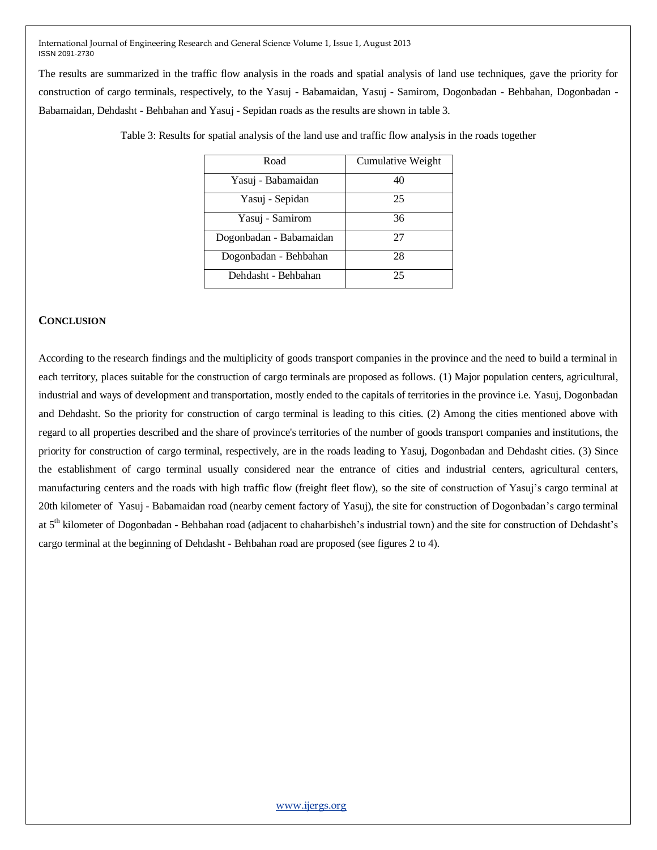The results are summarized in the traffic flow analysis in the roads and spatial analysis of land use techniques, gave the priority for construction of cargo terminals, respectively, to the Yasuj - Babamaidan, Yasuj - Samirom, Dogonbadan - Behbahan, Dogonbadan - Babamaidan, Dehdasht - Behbahan and Yasuj - Sepidan roads as the results are shown in table 3.

| Road                    | Cumulative Weight |  |  |
|-------------------------|-------------------|--|--|
| Yasuj - Babamaidan      | 40                |  |  |
| Yasuj - Sepidan         | 25                |  |  |
| Yasuj - Samirom         | 36                |  |  |
| Dogonbadan - Babamaidan | 27                |  |  |
| Dogonbadan - Behbahan   | 28                |  |  |
| Dehdasht - Behbahan     | 25                |  |  |

Table 3: Results for spatial analysis of the land use and traffic flow analysis in the roads together

#### **CONCLUSION**

According to the research findings and the multiplicity of goods transport companies in the province and the need to build a terminal in each territory, places suitable for the construction of cargo terminals are proposed as follows. (1) Major population centers, agricultural, industrial and ways of development and transportation, mostly ended to the capitals of territories in the province i.e. Yasuj, Dogonbadan and Dehdasht. So the priority for construction of cargo terminal is leading to this cities. (2) Among the cities mentioned above with regard to all properties described and the share of province's territories of the number of goods transport companies and institutions, the priority for construction of cargo terminal, respectively, are in the roads leading to Yasuj, Dogonbadan and Dehdasht cities. (3) Since the establishment of cargo terminal usually considered near the entrance of cities and industrial centers, agricultural centers, manufacturing centers and the roads with high traffic flow (freight fleet flow), so the site of construction of Yasuj's cargo terminal at 20th kilometer of Yasuj - Babamaidan road (nearby cement factory of Yasuj), the site for construction of Dogonbadan's cargo terminal at 5<sup>th</sup> kilometer of Dogonbadan - Behbahan road (adjacent to chaharbisheh's industrial town) and the site for construction of Dehdasht's cargo terminal at the beginning of Dehdasht - Behbahan road are proposed (see figures 2 to 4).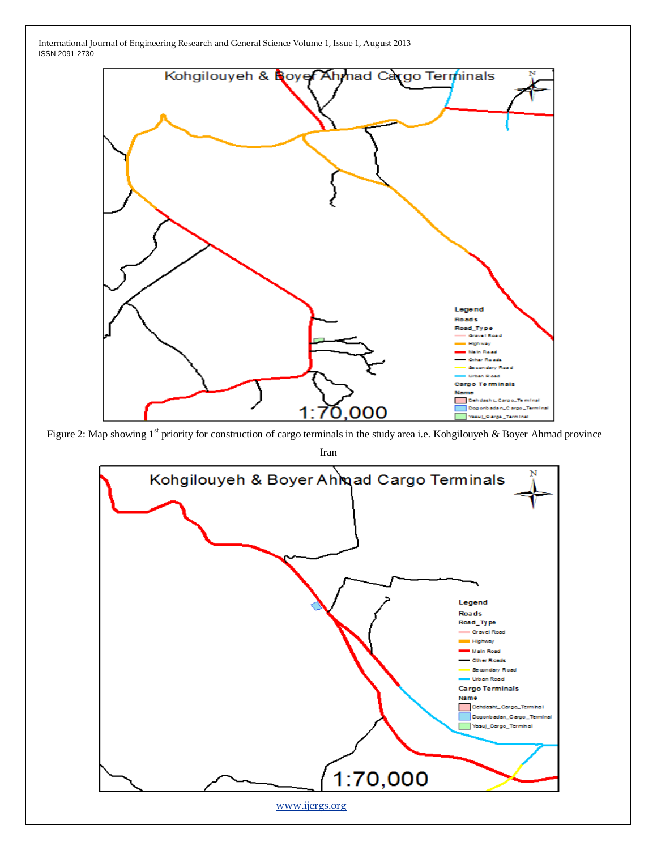

Figure 2: Map showing  $1^{st}$  priority for construction of cargo terminals in the study area i.e. Kohgilouyeh & Boyer Ahmad province –

Iran

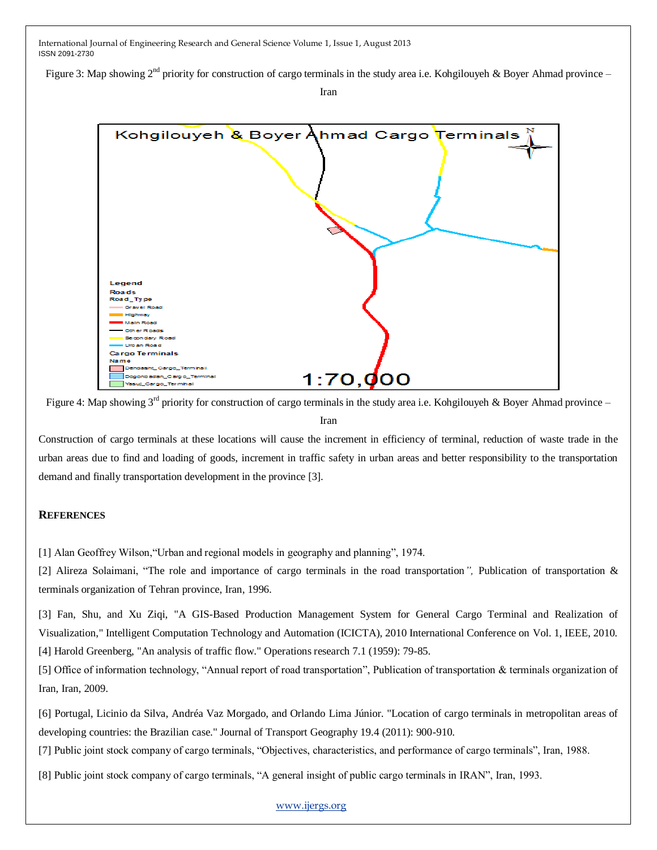Figure 3: Map showing  $2^{nd}$  priority for construction of cargo terminals in the study area i.e. Kohgilouyeh & Boyer Ahmad province –

Iran



Figure 4: Map showing  $3^{rd}$  priority for construction of cargo terminals in the study area i.e. Kohgilouyeh & Boyer Ahmad province – Iran

Construction of cargo terminals at these locations will cause the increment in efficiency of terminal, reduction of waste trade in the urban areas due to find and loading of goods, increment in traffic safety in urban areas and better responsibility to the transportation demand and finally transportation development in the province [3].

## **REFERENCES**

[1] Alan Geoffrey Wilson, "Urban and regional models in geography and planning", 1974.

[2] Alireza Solaimani, "The role and importance of cargo terminals in the road transportation", Publication of transportation & terminals organization of Tehran province, Iran, 1996.

[3] Fan, Shu, and Xu Ziqi, "A GIS-Based Production Management System for General Cargo Terminal and Realization of Visualization," Intelligent Computation Technology and Automation (ICICTA), 2010 International Conference on Vol. 1, IEEE, 2010. [4] Harold Greenberg, "An analysis of traffic flow." Operations research 7.1 (1959): 79-85.

[5] Office of information technology, "Annual report of road transportation", Publication of transportation & terminals organization of Iran, Iran, 2009.

[6] Portugal, Licinio da Silva, Andréa Vaz Morgado, and Orlando Lima Júnior. "Location of cargo terminals in metropolitan areas of developing countries: the Brazilian case." Journal of Transport Geography 19.4 (2011): 900-910.

[7] Public joint stock company of cargo terminals, "Objectives, characteristics, and performance of cargo terminals", Iran, 1988.

[8] Public joint stock company of cargo terminals, "A general insight of public cargo terminals in IRAN", Iran, 1993.